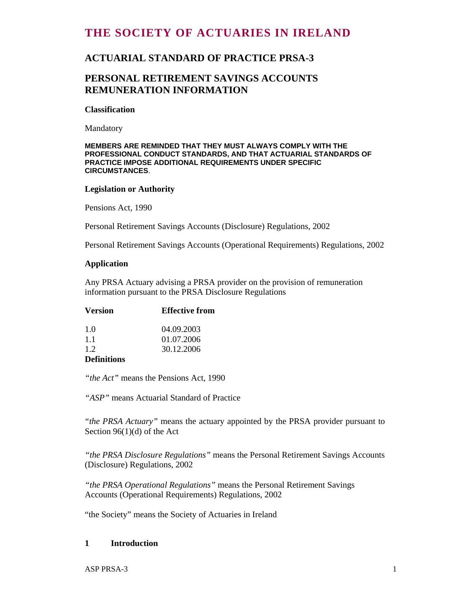# **THE SOCIETY OF ACTUARIES IN IRELAND**

## **ACTUARIAL STANDARD OF PRACTICE PRSA-3**

## **PERSONAL RETIREMENT SAVINGS ACCOUNTS REMUNERATION INFORMATION**

#### **Classification**

Mandatory

#### **MEMBERS ARE REMINDED THAT THEY MUST ALWAYS COMPLY WITH THE PROFESSIONAL CONDUCT STANDARDS, AND THAT ACTUARIAL STANDARDS OF PRACTICE IMPOSE ADDITIONAL REQUIREMENTS UNDER SPECIFIC CIRCUMSTANCES**.

#### **Legislation or Authority**

Pensions Act, 1990

Personal Retirement Savings Accounts (Disclosure) Regulations, 2002

Personal Retirement Savings Accounts (Operational Requirements) Regulations, 2002

#### **Application**

Any PRSA Actuary advising a PRSA provider on the provision of remuneration information pursuant to the PRSA Disclosure Regulations

| <b>Version</b>                         | <b>Effective from</b> |
|----------------------------------------|-----------------------|
| 1.0                                    | 04.09.2003            |
| 11                                     | 01.07.2006            |
| 1.2                                    | 30.12.2006            |
| $\mathbf{r}$ $\mathbf{r}$ $\mathbf{r}$ |                       |

#### **Definitions**

*"the Act"* means the Pensions Act, 1990

*"ASP"* means Actuarial Standard of Practice

*"the PRSA Actuary"* means the actuary appointed by the PRSA provider pursuant to Section 96(1)(d) of the Act

*"the PRSA Disclosure Regulations"* means the Personal Retirement Savings Accounts (Disclosure) Regulations, 2002

*"the PRSA Operational Regulations"* means the Personal Retirement Savings Accounts (Operational Requirements) Regulations, 2002

"the Society" means the Society of Actuaries in Ireland

#### **1 Introduction**

ASP PRSA-3 1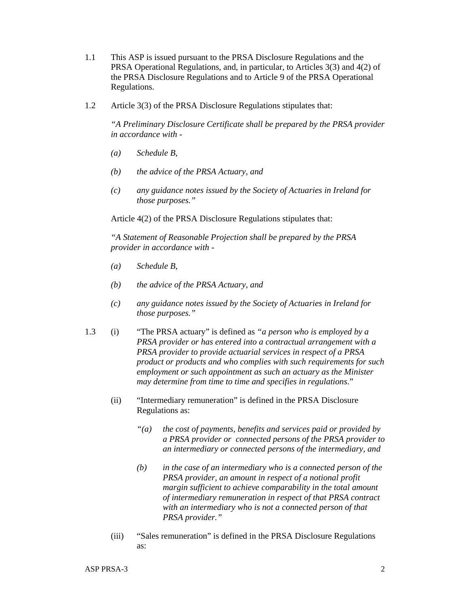- 1.1 This ASP is issued pursuant to the PRSA Disclosure Regulations and the PRSA Operational Regulations, and, in particular, to Articles 3(3) and 4(2) of the PRSA Disclosure Regulations and to Article 9 of the PRSA Operational Regulations.
- 1.2 Article 3(3) of the PRSA Disclosure Regulations stipulates that:

 *"A Preliminary Disclosure Certificate shall be prepared by the PRSA provider in accordance with -*

- *(a) Schedule B,*
- *(b) the advice of the PRSA Actuary, and*
- *(c) any guidance notes issued by the Society of Actuaries in Ireland for those purposes."*

Article 4(2) of the PRSA Disclosure Regulations stipulates that:

 *"A Statement of Reasonable Projection shall be prepared by the PRSA provider in accordance with -* 

- *(a) Schedule B,*
- *(b) the advice of the PRSA Actuary, and*
- *(c) any guidance notes issued by the Society of Actuaries in Ireland for those purposes."*
- 1.3 (i) "The PRSA actuary" is defined as *"a person who is employed by a PRSA provider or has entered into a contractual arrangement with a PRSA provider to provide actuarial services in respect of a PRSA product or products and who complies with such requirements for such employment or such appointment as such an actuary as the Minister may determine from time to time and specifies in regulations*."
	- (ii) "Intermediary remuneration" is defined in the PRSA Disclosure Regulations as:
		- *"(a) the cost of payments, benefits and services paid or provided by a PRSA provider or connected persons of the PRSA provider to an intermediary or connected persons of the intermediary, and*
		- *(b) in the case of an intermediary who is a connected person of the PRSA provider, an amount in respect of a notional profit margin sufficient to achieve comparability in the total amount of intermediary remuneration in respect of that PRSA contract with an intermediary who is not a connected person of that PRSA provider."*
	- (iii) "Sales remuneration" is defined in the PRSA Disclosure Regulations as: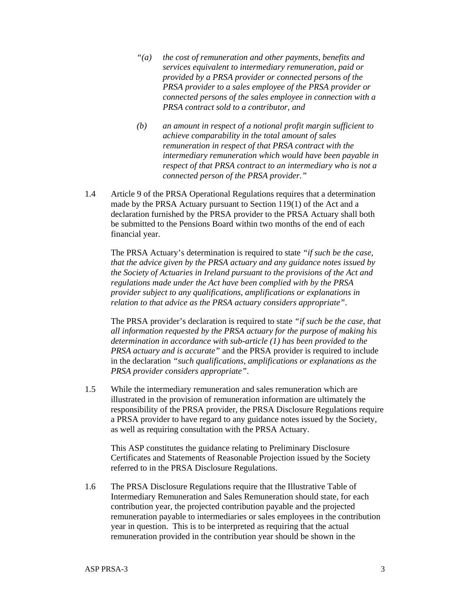- *"(a) the cost of remuneration and other payments, benefits and services equivalent to intermediary remuneration, paid or provided by a PRSA provider or connected persons of the PRSA provider to a sales employee of the PRSA provider or connected persons of the sales employee in connection with a PRSA contract sold to a contributor, and*
- *(b) an amount in respect of a notional profit margin sufficient to achieve comparability in the total amount of sales remuneration in respect of that PRSA contract with the intermediary remuneration which would have been payable in respect of that PRSA contract to an intermediary who is not a connected person of the PRSA provider."*
- 1.4 Article 9 of the PRSA Operational Regulations requires that a determination made by the PRSA Actuary pursuant to Section 119(1) of the Act and a declaration furnished by the PRSA provider to the PRSA Actuary shall both be submitted to the Pensions Board within two months of the end of each financial year.

 The PRSA Actuary's determination is required to state *"if such be the case, that the advice given by the PRSA actuary and any guidance notes issued by the Society of Actuaries in Ireland pursuant to the provisions of the Act and regulations made under the Act have been complied with by the PRSA provider subject to any qualifications, amplifications or explanations in relation to that advice as the PRSA actuary considers appropriate"*.

 The PRSA provider's declaration is required to state *"if such be the case, that all information requested by the PRSA actuary for the purpose of making his determination in accordance with sub-article (1) has been provided to the PRSA actuary and is accurate"* and the PRSA provider is required to include in the declaration *"such qualifications, amplifications or explanations as the PRSA provider considers appropriate"*.

1.5 While the intermediary remuneration and sales remuneration which are illustrated in the provision of remuneration information are ultimately the responsibility of the PRSA provider, the PRSA Disclosure Regulations require a PRSA provider to have regard to any guidance notes issued by the Society, as well as requiring consultation with the PRSA Actuary.

 This ASP constitutes the guidance relating to Preliminary Disclosure Certificates and Statements of Reasonable Projection issued by the Society referred to in the PRSA Disclosure Regulations.

1.6 The PRSA Disclosure Regulations require that the Illustrative Table of Intermediary Remuneration and Sales Remuneration should state, for each contribution year, the projected contribution payable and the projected remuneration payable to intermediaries or sales employees in the contribution year in question. This is to be interpreted as requiring that the actual remuneration provided in the contribution year should be shown in the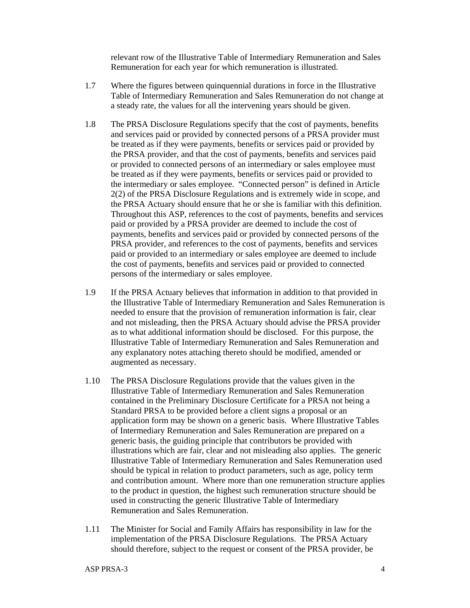relevant row of the Illustrative Table of Intermediary Remuneration and Sales Remuneration for each year for which remuneration is illustrated.

- 1.7 Where the figures between quinquennial durations in force in the Illustrative Table of Intermediary Remuneration and Sales Remuneration do not change at a steady rate, the values for all the intervening years should be given.
- 1.8 The PRSA Disclosure Regulations specify that the cost of payments, benefits and services paid or provided by connected persons of a PRSA provider must be treated as if they were payments, benefits or services paid or provided by the PRSA provider, and that the cost of payments, benefits and services paid or provided to connected persons of an intermediary or sales employee must be treated as if they were payments, benefits or services paid or provided to the intermediary or sales employee. "Connected person" is defined in Article 2(2) of the PRSA Disclosure Regulations and is extremely wide in scope, and the PRSA Actuary should ensure that he or she is familiar with this definition. Throughout this ASP, references to the cost of payments, benefits and services paid or provided by a PRSA provider are deemed to include the cost of payments, benefits and services paid or provided by connected persons of the PRSA provider, and references to the cost of payments, benefits and services paid or provided to an intermediary or sales employee are deemed to include the cost of payments, benefits and services paid or provided to connected persons of the intermediary or sales employee.
- 1.9 If the PRSA Actuary believes that information in addition to that provided in the Illustrative Table of Intermediary Remuneration and Sales Remuneration is needed to ensure that the provision of remuneration information is fair, clear and not misleading, then the PRSA Actuary should advise the PRSA provider as to what additional information should be disclosed. For this purpose, the Illustrative Table of Intermediary Remuneration and Sales Remuneration and any explanatory notes attaching thereto should be modified, amended or augmented as necessary.
- 1.10 The PRSA Disclosure Regulations provide that the values given in the Illustrative Table of Intermediary Remuneration and Sales Remuneration contained in the Preliminary Disclosure Certificate for a PRSA not being a Standard PRSA to be provided before a client signs a proposal or an application form may be shown on a generic basis. Where Illustrative Tables of Intermediary Remuneration and Sales Remuneration are prepared on a generic basis, the guiding principle that contributors be provided with illustrations which are fair, clear and not misleading also applies. The generic Illustrative Table of Intermediary Remuneration and Sales Remuneration used should be typical in relation to product parameters, such as age, policy term and contribution amount. Where more than one remuneration structure applies to the product in question, the highest such remuneration structure should be used in constructing the generic Illustrative Table of Intermediary Remuneration and Sales Remuneration.
- 1.11 The Minister for Social and Family Affairs has responsibility in law for the implementation of the PRSA Disclosure Regulations. The PRSA Actuary should therefore, subject to the request or consent of the PRSA provider, be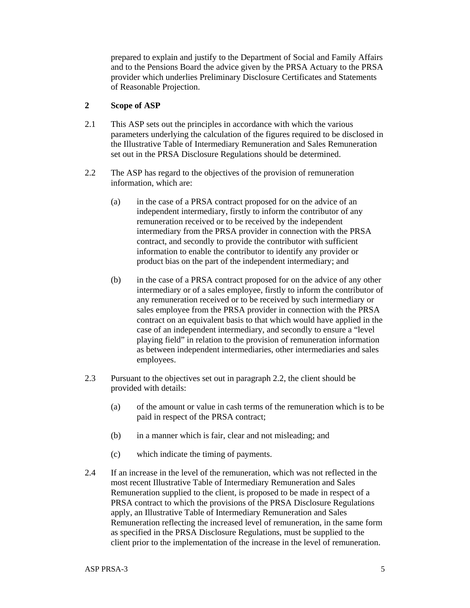prepared to explain and justify to the Department of Social and Family Affairs and to the Pensions Board the advice given by the PRSA Actuary to the PRSA provider which underlies Preliminary Disclosure Certificates and Statements of Reasonable Projection.

#### **2 Scope of ASP**

- 2.1 This ASP sets out the principles in accordance with which the various parameters underlying the calculation of the figures required to be disclosed in the Illustrative Table of Intermediary Remuneration and Sales Remuneration set out in the PRSA Disclosure Regulations should be determined.
- 2.2 The ASP has regard to the objectives of the provision of remuneration information, which are:
	- (a) in the case of a PRSA contract proposed for on the advice of an independent intermediary, firstly to inform the contributor of any remuneration received or to be received by the independent intermediary from the PRSA provider in connection with the PRSA contract, and secondly to provide the contributor with sufficient information to enable the contributor to identify any provider or product bias on the part of the independent intermediary; and
	- (b) in the case of a PRSA contract proposed for on the advice of any other intermediary or of a sales employee, firstly to inform the contributor of any remuneration received or to be received by such intermediary or sales employee from the PRSA provider in connection with the PRSA contract on an equivalent basis to that which would have applied in the case of an independent intermediary, and secondly to ensure a "level playing field" in relation to the provision of remuneration information as between independent intermediaries, other intermediaries and sales employees.
- 2.3 Pursuant to the objectives set out in paragraph 2.2, the client should be provided with details:
	- (a) of the amount or value in cash terms of the remuneration which is to be paid in respect of the PRSA contract;
	- (b) in a manner which is fair, clear and not misleading; and
	- (c) which indicate the timing of payments.
- 2.4 If an increase in the level of the remuneration, which was not reflected in the most recent Illustrative Table of Intermediary Remuneration and Sales Remuneration supplied to the client, is proposed to be made in respect of a PRSA contract to which the provisions of the PRSA Disclosure Regulations apply, an Illustrative Table of Intermediary Remuneration and Sales Remuneration reflecting the increased level of remuneration, in the same form as specified in the PRSA Disclosure Regulations, must be supplied to the client prior to the implementation of the increase in the level of remuneration.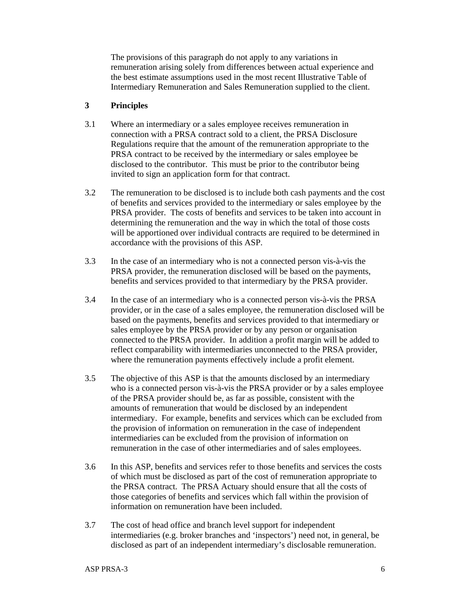The provisions of this paragraph do not apply to any variations in remuneration arising solely from differences between actual experience and the best estimate assumptions used in the most recent Illustrative Table of Intermediary Remuneration and Sales Remuneration supplied to the client.

## **3 Principles**

- 3.1 Where an intermediary or a sales employee receives remuneration in connection with a PRSA contract sold to a client, the PRSA Disclosure Regulations require that the amount of the remuneration appropriate to the PRSA contract to be received by the intermediary or sales employee be disclosed to the contributor. This must be prior to the contributor being invited to sign an application form for that contract.
- 3.2 The remuneration to be disclosed is to include both cash payments and the cost of benefits and services provided to the intermediary or sales employee by the PRSA provider. The costs of benefits and services to be taken into account in determining the remuneration and the way in which the total of those costs will be apportioned over individual contracts are required to be determined in accordance with the provisions of this ASP.
- 3.3 In the case of an intermediary who is not a connected person vis-à-vis the PRSA provider, the remuneration disclosed will be based on the payments, benefits and services provided to that intermediary by the PRSA provider.
- 3.4 In the case of an intermediary who is a connected person vis-à-vis the PRSA provider, or in the case of a sales employee, the remuneration disclosed will be based on the payments, benefits and services provided to that intermediary or sales employee by the PRSA provider or by any person or organisation connected to the PRSA provider. In addition a profit margin will be added to reflect comparability with intermediaries unconnected to the PRSA provider, where the remuneration payments effectively include a profit element.
- 3.5 The objective of this ASP is that the amounts disclosed by an intermediary who is a connected person vis-à-vis the PRSA provider or by a sales employee of the PRSA provider should be, as far as possible, consistent with the amounts of remuneration that would be disclosed by an independent intermediary. For example, benefits and services which can be excluded from the provision of information on remuneration in the case of independent intermediaries can be excluded from the provision of information on remuneration in the case of other intermediaries and of sales employees.
- 3.6 In this ASP, benefits and services refer to those benefits and services the costs of which must be disclosed as part of the cost of remuneration appropriate to the PRSA contract. The PRSA Actuary should ensure that all the costs of those categories of benefits and services which fall within the provision of information on remuneration have been included.
- 3.7 The cost of head office and branch level support for independent intermediaries (e.g. broker branches and 'inspectors') need not, in general, be disclosed as part of an independent intermediary's disclosable remuneration.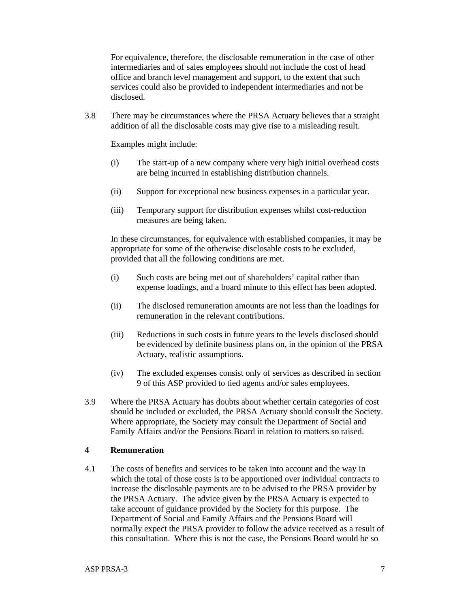For equivalence, therefore, the disclosable remuneration in the case of other intermediaries and of sales employees should not include the cost of head office and branch level management and support, to the extent that such services could also be provided to independent intermediaries and not be disclosed.

3.8 There may be circumstances where the PRSA Actuary believes that a straight addition of all the disclosable costs may give rise to a misleading result.

Examples might include:

- (i) The start-up of a new company where very high initial overhead costs are being incurred in establishing distribution channels.
- (ii) Support for exceptional new business expenses in a particular year.
- (iii) Temporary support for distribution expenses whilst cost-reduction measures are being taken.

 In these circumstances, for equivalence with established companies, it may be appropriate for some of the otherwise disclosable costs to be excluded, provided that all the following conditions are met.

- (i) Such costs are being met out of shareholders' capital rather than expense loadings, and a board minute to this effect has been adopted.
- (ii) The disclosed remuneration amounts are not less than the loadings for remuneration in the relevant contributions.
- (iii) Reductions in such costs in future years to the levels disclosed should be evidenced by definite business plans on, in the opinion of the PRSA Actuary, realistic assumptions.
- (iv) The excluded expenses consist only of services as described in section 9 of this ASP provided to tied agents and/or sales employees.
- 3.9 Where the PRSA Actuary has doubts about whether certain categories of cost should be included or excluded, the PRSA Actuary should consult the Society. Where appropriate, the Society may consult the Department of Social and Family Affairs and/or the Pensions Board in relation to matters so raised.

## **4 Remuneration**

4.1 The costs of benefits and services to be taken into account and the way in which the total of those costs is to be apportioned over individual contracts to increase the disclosable payments are to be advised to the PRSA provider by the PRSA Actuary. The advice given by the PRSA Actuary is expected to take account of guidance provided by the Society for this purpose. The Department of Social and Family Affairs and the Pensions Board will normally expect the PRSA provider to follow the advice received as a result of this consultation. Where this is not the case, the Pensions Board would be so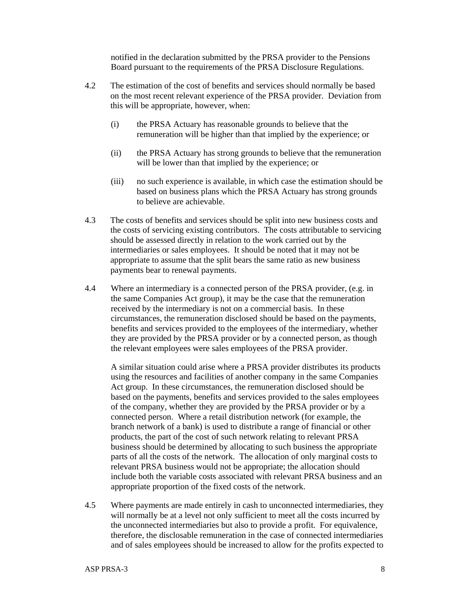notified in the declaration submitted by the PRSA provider to the Pensions Board pursuant to the requirements of the PRSA Disclosure Regulations.

- 4.2 The estimation of the cost of benefits and services should normally be based on the most recent relevant experience of the PRSA provider. Deviation from this will be appropriate, however, when:
	- (i) the PRSA Actuary has reasonable grounds to believe that the remuneration will be higher than that implied by the experience; or
	- (ii) the PRSA Actuary has strong grounds to believe that the remuneration will be lower than that implied by the experience; or
	- (iii) no such experience is available, in which case the estimation should be based on business plans which the PRSA Actuary has strong grounds to believe are achievable.
- 4.3 The costs of benefits and services should be split into new business costs and the costs of servicing existing contributors. The costs attributable to servicing should be assessed directly in relation to the work carried out by the intermediaries or sales employees. It should be noted that it may not be appropriate to assume that the split bears the same ratio as new business payments bear to renewal payments.
- 4.4 Where an intermediary is a connected person of the PRSA provider, (e.g. in the same Companies Act group), it may be the case that the remuneration received by the intermediary is not on a commercial basis. In these circumstances, the remuneration disclosed should be based on the payments, benefits and services provided to the employees of the intermediary, whether they are provided by the PRSA provider or by a connected person, as though the relevant employees were sales employees of the PRSA provider.

 A similar situation could arise where a PRSA provider distributes its products using the resources and facilities of another company in the same Companies Act group. In these circumstances, the remuneration disclosed should be based on the payments, benefits and services provided to the sales employees of the company, whether they are provided by the PRSA provider or by a connected person. Where a retail distribution network (for example, the branch network of a bank) is used to distribute a range of financial or other products, the part of the cost of such network relating to relevant PRSA business should be determined by allocating to such business the appropriate parts of all the costs of the network. The allocation of only marginal costs to relevant PRSA business would not be appropriate; the allocation should include both the variable costs associated with relevant PRSA business and an appropriate proportion of the fixed costs of the network.

4.5 Where payments are made entirely in cash to unconnected intermediaries, they will normally be at a level not only sufficient to meet all the costs incurred by the unconnected intermediaries but also to provide a profit. For equivalence, therefore, the disclosable remuneration in the case of connected intermediaries and of sales employees should be increased to allow for the profits expected to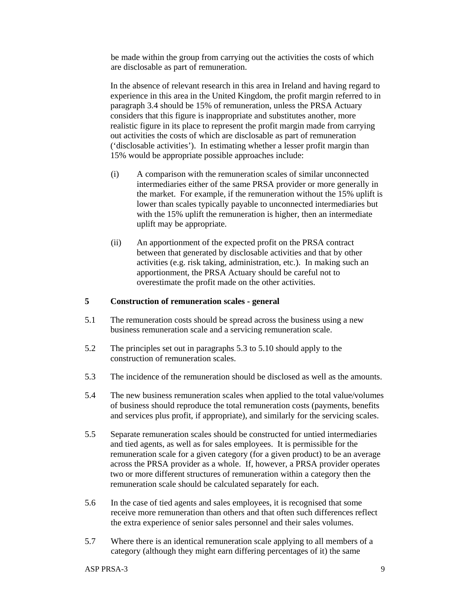be made within the group from carrying out the activities the costs of which are disclosable as part of remuneration.

 In the absence of relevant research in this area in Ireland and having regard to experience in this area in the United Kingdom, the profit margin referred to in paragraph 3.4 should be 15% of remuneration, unless the PRSA Actuary considers that this figure is inappropriate and substitutes another, more realistic figure in its place to represent the profit margin made from carrying out activities the costs of which are disclosable as part of remuneration ('disclosable activities'). In estimating whether a lesser profit margin than 15% would be appropriate possible approaches include:

- (i) A comparison with the remuneration scales of similar unconnected intermediaries either of the same PRSA provider or more generally in the market. For example, if the remuneration without the 15% uplift is lower than scales typically payable to unconnected intermediaries but with the 15% uplift the remuneration is higher, then an intermediate uplift may be appropriate.
- (ii) An apportionment of the expected profit on the PRSA contract between that generated by disclosable activities and that by other activities (e.g. risk taking, administration, etc.). In making such an apportionment, the PRSA Actuary should be careful not to overestimate the profit made on the other activities.

### **5 Construction of remuneration scales - general**

- 5.1 The remuneration costs should be spread across the business using a new business remuneration scale and a servicing remuneration scale.
- 5.2 The principles set out in paragraphs 5.3 to 5.10 should apply to the construction of remuneration scales.
- 5.3 The incidence of the remuneration should be disclosed as well as the amounts.
- 5.4 The new business remuneration scales when applied to the total value/volumes of business should reproduce the total remuneration costs (payments, benefits and services plus profit, if appropriate), and similarly for the servicing scales.
- 5.5 Separate remuneration scales should be constructed for untied intermediaries and tied agents, as well as for sales employees. It is permissible for the remuneration scale for a given category (for a given product) to be an average across the PRSA provider as a whole. If, however, a PRSA provider operates two or more different structures of remuneration within a category then the remuneration scale should be calculated separately for each.
- 5.6 In the case of tied agents and sales employees, it is recognised that some receive more remuneration than others and that often such differences reflect the extra experience of senior sales personnel and their sales volumes.
- 5.7 Where there is an identical remuneration scale applying to all members of a category (although they might earn differing percentages of it) the same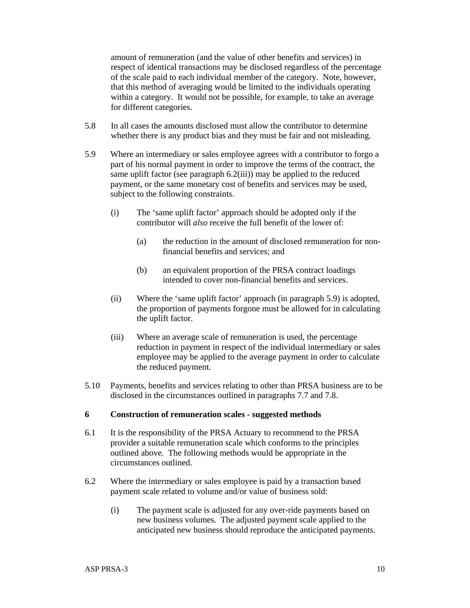amount of remuneration (and the value of other benefits and services) in respect of identical transactions may be disclosed regardless of the percentage of the scale paid to each individual member of the category. Note, however, that this method of averaging would be limited to the individuals operating within a category. It would not be possible, for example, to take an average for different categories.

- 5.8 In all cases the amounts disclosed must allow the contributor to determine whether there is any product bias and they must be fair and not misleading.
- 5.9 Where an intermediary or sales employee agrees with a contributor to forgo a part of his normal payment in order to improve the terms of the contract, the same uplift factor (see paragraph 6.2(iii)) may be applied to the reduced payment, or the same monetary cost of benefits and services may be used, subject to the following constraints.
	- (i) The 'same uplift factor' approach should be adopted only if the contributor will *also* receive the full benefit of the lower of:
		- (a) the reduction in the amount of disclosed remuneration for nonfinancial benefits and services; and
		- (b) an equivalent proportion of the PRSA contract loadings intended to cover non-financial benefits and services.
	- (ii) Where the 'same uplift factor' approach (in paragraph 5.9) is adopted, the proportion of payments forgone must be allowed for in calculating the uplift factor.
	- (iii) Where an average scale of remuneration is used, the percentage reduction in payment in respect of the individual intermediary or sales employee may be applied to the average payment in order to calculate the reduced payment.
- 5.10 Payments, benefits and services relating to other than PRSA business are to be disclosed in the circumstances outlined in paragraphs 7.7 and 7.8.

## **6 Construction of remuneration scales - suggested methods**

- 6.1 It is the responsibility of the PRSA Actuary to recommend to the PRSA provider a suitable remuneration scale which conforms to the principles outlined above. The following methods would be appropriate in the circumstances outlined.
- 6.2 Where the intermediary or sales employee is paid by a transaction based payment scale related to volume and/or value of business sold:
	- (i) The payment scale is adjusted for any over-ride payments based on new business volumes. The adjusted payment scale applied to the anticipated new business should reproduce the anticipated payments.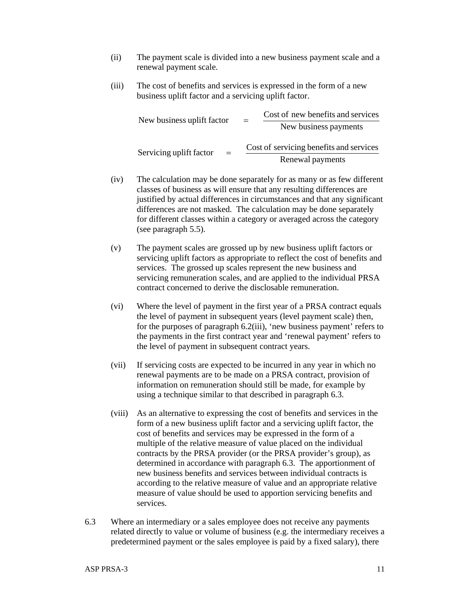- (ii) The payment scale is divided into a new business payment scale and a renewal payment scale.
- (iii) The cost of benefits and services is expressed in the form of a new business uplift factor and a servicing uplift factor.

| New business uplift factor     | $=$ | Cost of new benefits and services<br>New business payments |
|--------------------------------|-----|------------------------------------------------------------|
| Servicing uplift factor<br>$=$ |     | Cost of servicing benefits and services                    |
|                                |     | Renewal payments                                           |

- (iv) The calculation may be done separately for as many or as few different classes of business as will ensure that any resulting differences are justified by actual differences in circumstances and that any significant differences are not masked. The calculation may be done separately for different classes within a category or averaged across the category (see paragraph 5.5).
- (v) The payment scales are grossed up by new business uplift factors or servicing uplift factors as appropriate to reflect the cost of benefits and services. The grossed up scales represent the new business and servicing remuneration scales, and are applied to the individual PRSA contract concerned to derive the disclosable remuneration.
- (vi) Where the level of payment in the first year of a PRSA contract equals the level of payment in subsequent years (level payment scale) then, for the purposes of paragraph 6.2(iii), 'new business payment' refers to the payments in the first contract year and 'renewal payment' refers to the level of payment in subsequent contract years.
- (vii) If servicing costs are expected to be incurred in any year in which no renewal payments are to be made on a PRSA contract, provision of information on remuneration should still be made, for example by using a technique similar to that described in paragraph 6.3.
- (viii) As an alternative to expressing the cost of benefits and services in the form of a new business uplift factor and a servicing uplift factor, the cost of benefits and services may be expressed in the form of a multiple of the relative measure of value placed on the individual contracts by the PRSA provider (or the PRSA provider's group), as determined in accordance with paragraph 6.3. The apportionment of new business benefits and services between individual contracts is according to the relative measure of value and an appropriate relative measure of value should be used to apportion servicing benefits and services.
- 6.3 Where an intermediary or a sales employee does not receive any payments related directly to value or volume of business (e.g. the intermediary receives a predetermined payment or the sales employee is paid by a fixed salary), there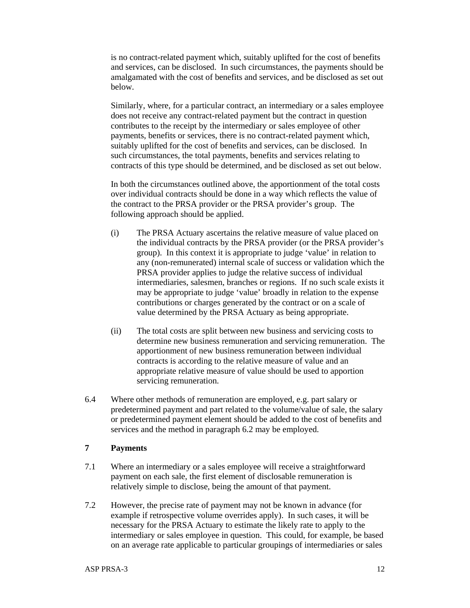is no contract-related payment which, suitably uplifted for the cost of benefits and services, can be disclosed. In such circumstances, the payments should be amalgamated with the cost of benefits and services, and be disclosed as set out below.

 Similarly, where, for a particular contract, an intermediary or a sales employee does not receive any contract-related payment but the contract in question contributes to the receipt by the intermediary or sales employee of other payments, benefits or services, there is no contract-related payment which, suitably uplifted for the cost of benefits and services, can be disclosed. In such circumstances, the total payments, benefits and services relating to contracts of this type should be determined, and be disclosed as set out below.

 In both the circumstances outlined above, the apportionment of the total costs over individual contracts should be done in a way which reflects the value of the contract to the PRSA provider or the PRSA provider's group. The following approach should be applied.

- (i) The PRSA Actuary ascertains the relative measure of value placed on the individual contracts by the PRSA provider (or the PRSA provider's group). In this context it is appropriate to judge 'value' in relation to any (non-remunerated) internal scale of success or validation which the PRSA provider applies to judge the relative success of individual intermediaries, salesmen, branches or regions. If no such scale exists it may be appropriate to judge 'value' broadly in relation to the expense contributions or charges generated by the contract or on a scale of value determined by the PRSA Actuary as being appropriate.
- (ii) The total costs are split between new business and servicing costs to determine new business remuneration and servicing remuneration. The apportionment of new business remuneration between individual contracts is according to the relative measure of value and an appropriate relative measure of value should be used to apportion servicing remuneration.
- 6.4 Where other methods of remuneration are employed, e.g. part salary or predetermined payment and part related to the volume/value of sale, the salary or predetermined payment element should be added to the cost of benefits and services and the method in paragraph 6.2 may be employed.

#### **7 Payments**

- 7.1 Where an intermediary or a sales employee will receive a straightforward payment on each sale, the first element of disclosable remuneration is relatively simple to disclose, being the amount of that payment.
- 7.2 However, the precise rate of payment may not be known in advance (for example if retrospective volume overrides apply). In such cases, it will be necessary for the PRSA Actuary to estimate the likely rate to apply to the intermediary or sales employee in question. This could, for example, be based on an average rate applicable to particular groupings of intermediaries or sales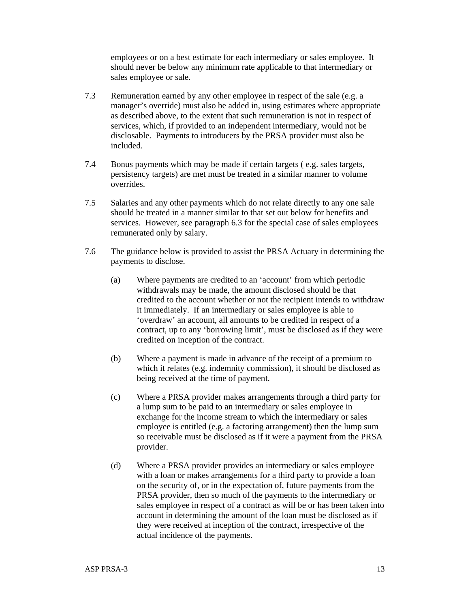employees or on a best estimate for each intermediary or sales employee. It should never be below any minimum rate applicable to that intermediary or sales employee or sale.

- 7.3 Remuneration earned by any other employee in respect of the sale (e.g. a manager's override) must also be added in, using estimates where appropriate as described above, to the extent that such remuneration is not in respect of services, which, if provided to an independent intermediary, would not be disclosable. Payments to introducers by the PRSA provider must also be included.
- 7.4 Bonus payments which may be made if certain targets ( e.g. sales targets, persistency targets) are met must be treated in a similar manner to volume overrides.
- 7.5 Salaries and any other payments which do not relate directly to any one sale should be treated in a manner similar to that set out below for benefits and services. However, see paragraph 6.3 for the special case of sales employees remunerated only by salary.
- 7.6 The guidance below is provided to assist the PRSA Actuary in determining the payments to disclose.
	- (a) Where payments are credited to an 'account' from which periodic withdrawals may be made, the amount disclosed should be that credited to the account whether or not the recipient intends to withdraw it immediately. If an intermediary or sales employee is able to 'overdraw' an account, all amounts to be credited in respect of a contract, up to any 'borrowing limit', must be disclosed as if they were credited on inception of the contract.
	- (b) Where a payment is made in advance of the receipt of a premium to which it relates (e.g. indemnity commission), it should be disclosed as being received at the time of payment.
	- (c) Where a PRSA provider makes arrangements through a third party for a lump sum to be paid to an intermediary or sales employee in exchange for the income stream to which the intermediary or sales employee is entitled (e.g. a factoring arrangement) then the lump sum so receivable must be disclosed as if it were a payment from the PRSA provider.
	- (d) Where a PRSA provider provides an intermediary or sales employee with a loan or makes arrangements for a third party to provide a loan on the security of, or in the expectation of, future payments from the PRSA provider, then so much of the payments to the intermediary or sales employee in respect of a contract as will be or has been taken into account in determining the amount of the loan must be disclosed as if they were received at inception of the contract, irrespective of the actual incidence of the payments.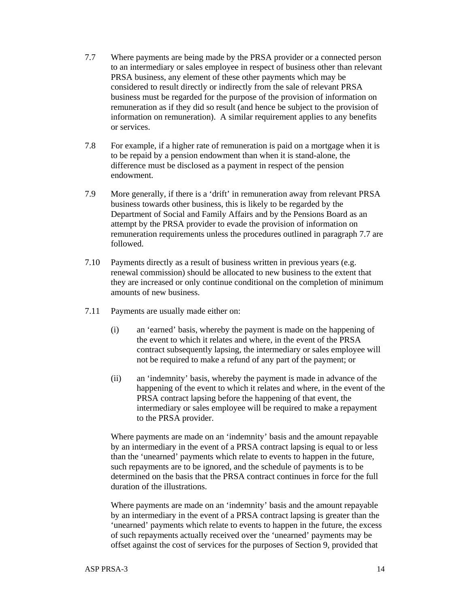- 7.7 Where payments are being made by the PRSA provider or a connected person to an intermediary or sales employee in respect of business other than relevant PRSA business, any element of these other payments which may be considered to result directly or indirectly from the sale of relevant PRSA business must be regarded for the purpose of the provision of information on remuneration as if they did so result (and hence be subject to the provision of information on remuneration). A similar requirement applies to any benefits or services.
- 7.8 For example, if a higher rate of remuneration is paid on a mortgage when it is to be repaid by a pension endowment than when it is stand-alone, the difference must be disclosed as a payment in respect of the pension endowment.
- 7.9 More generally, if there is a 'drift' in remuneration away from relevant PRSA business towards other business, this is likely to be regarded by the Department of Social and Family Affairs and by the Pensions Board as an attempt by the PRSA provider to evade the provision of information on remuneration requirements unless the procedures outlined in paragraph 7.7 are followed.
- 7.10 Payments directly as a result of business written in previous years (e.g. renewal commission) should be allocated to new business to the extent that they are increased or only continue conditional on the completion of minimum amounts of new business.
- 7.11 Payments are usually made either on:
	- (i) an 'earned' basis, whereby the payment is made on the happening of the event to which it relates and where, in the event of the PRSA contract subsequently lapsing, the intermediary or sales employee will not be required to make a refund of any part of the payment; or
	- (ii) an 'indemnity' basis, whereby the payment is made in advance of the happening of the event to which it relates and where, in the event of the PRSA contract lapsing before the happening of that event, the intermediary or sales employee will be required to make a repayment to the PRSA provider.

 Where payments are made on an 'indemnity' basis and the amount repayable by an intermediary in the event of a PRSA contract lapsing is equal to or less than the 'unearned' payments which relate to events to happen in the future, such repayments are to be ignored, and the schedule of payments is to be determined on the basis that the PRSA contract continues in force for the full duration of the illustrations.

 Where payments are made on an 'indemnity' basis and the amount repayable by an intermediary in the event of a PRSA contract lapsing is greater than the 'unearned' payments which relate to events to happen in the future, the excess of such repayments actually received over the 'unearned' payments may be offset against the cost of services for the purposes of Section 9, provided that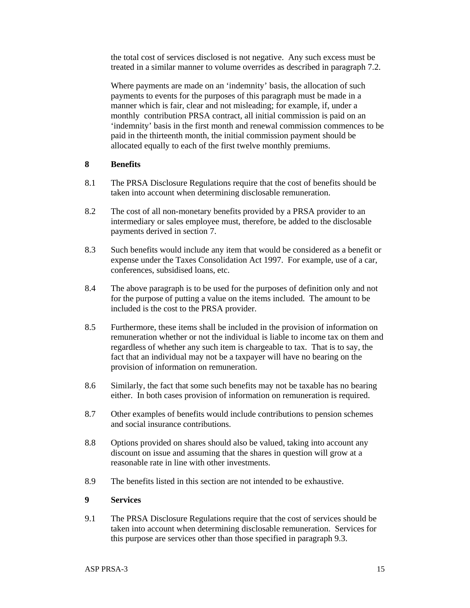the total cost of services disclosed is not negative. Any such excess must be treated in a similar manner to volume overrides as described in paragraph 7.2.

 Where payments are made on an 'indemnity' basis, the allocation of such payments to events for the purposes of this paragraph must be made in a manner which is fair, clear and not misleading; for example, if, under a monthly contribution PRSA contract, all initial commission is paid on an 'indemnity' basis in the first month and renewal commission commences to be paid in the thirteenth month, the initial commission payment should be allocated equally to each of the first twelve monthly premiums.

#### **8 Benefits**

- 8.1 The PRSA Disclosure Regulations require that the cost of benefits should be taken into account when determining disclosable remuneration.
- 8.2 The cost of all non-monetary benefits provided by a PRSA provider to an intermediary or sales employee must, therefore, be added to the disclosable payments derived in section 7.
- 8.3 Such benefits would include any item that would be considered as a benefit or expense under the Taxes Consolidation Act 1997. For example, use of a car, conferences, subsidised loans, etc.
- 8.4 The above paragraph is to be used for the purposes of definition only and not for the purpose of putting a value on the items included. The amount to be included is the cost to the PRSA provider.
- 8.5 Furthermore, these items shall be included in the provision of information on remuneration whether or not the individual is liable to income tax on them and regardless of whether any such item is chargeable to tax. That is to say, the fact that an individual may not be a taxpayer will have no bearing on the provision of information on remuneration.
- 8.6 Similarly, the fact that some such benefits may not be taxable has no bearing either. In both cases provision of information on remuneration is required.
- 8.7 Other examples of benefits would include contributions to pension schemes and social insurance contributions.
- 8.8 Options provided on shares should also be valued, taking into account any discount on issue and assuming that the shares in question will grow at a reasonable rate in line with other investments.
- 8.9 The benefits listed in this section are not intended to be exhaustive.

## **9 Services**

9.1 The PRSA Disclosure Regulations require that the cost of services should be taken into account when determining disclosable remuneration. Services for this purpose are services other than those specified in paragraph 9.3.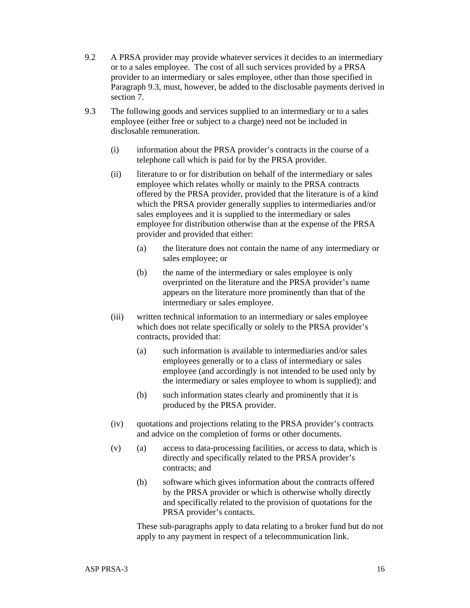- 9.2 A PRSA provider may provide whatever services it decides to an intermediary or to a sales employee. The cost of all such services provided by a PRSA provider to an intermediary or sales employee, other than those specified in Paragraph 9.3, must, however, be added to the disclosable payments derived in section 7.
- 9.3 The following goods and services supplied to an intermediary or to a sales employee (either free or subject to a charge) need not be included in disclosable remuneration.
	- (i) information about the PRSA provider's contracts in the course of a telephone call which is paid for by the PRSA provider.
	- (ii) literature to or for distribution on behalf of the intermediary or sales employee which relates wholly or mainly to the PRSA contracts offered by the PRSA provider, provided that the literature is of a kind which the PRSA provider generally supplies to intermediaries and/or sales employees and it is supplied to the intermediary or sales employee for distribution otherwise than at the expense of the PRSA provider and provided that either:
		- (a) the literature does not contain the name of any intermediary or sales employee; or
		- (b) the name of the intermediary or sales employee is only overprinted on the literature and the PRSA provider's name appears on the literature more prominently than that of the intermediary or sales employee.
	- (iii) written technical information to an intermediary or sales employee which does not relate specifically or solely to the PRSA provider's contracts, provided that:
		- (a) such information is available to intermediaries and/or sales employees generally or to a class of intermediary or sales employee (and accordingly is not intended to be used only by the intermediary or sales employee to whom is supplied); and
		- (b) such information states clearly and prominently that it is produced by the PRSA provider.
	- (iv) quotations and projections relating to the PRSA provider's contracts and advice on the completion of forms or other documents.
	- $(v)$  (a) access to data-processing facilities, or access to data, which is directly and specifically related to the PRSA provider's contracts; and
		- (b) software which gives information about the contracts offered by the PRSA provider or which is otherwise wholly directly and specifically related to the provision of quotations for the PRSA provider's contacts.

 These sub-paragraphs apply to data relating to a broker fund but do not apply to any payment in respect of a telecommunication link.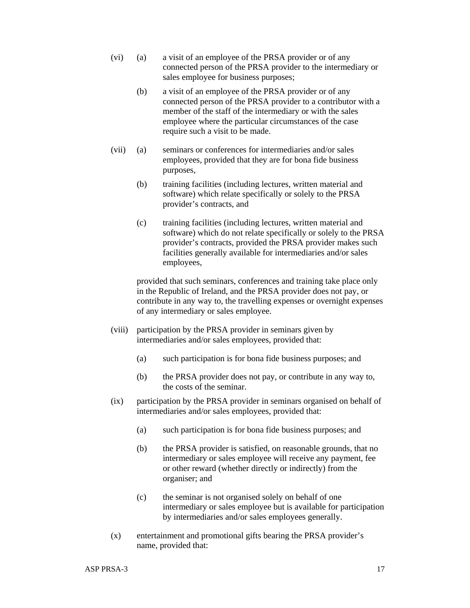- (vi) (a) a visit of an employee of the PRSA provider or of any connected person of the PRSA provider to the intermediary or sales employee for business purposes;
	- (b) a visit of an employee of the PRSA provider or of any connected person of the PRSA provider to a contributor with a member of the staff of the intermediary or with the sales employee where the particular circumstances of the case require such a visit to be made.
- (vii) (a) seminars or conferences for intermediaries and/or sales employees, provided that they are for bona fide business purposes,
	- (b) training facilities (including lectures, written material and software) which relate specifically or solely to the PRSA provider's contracts, and
	- (c) training facilities (including lectures, written material and software) which do not relate specifically or solely to the PRSA provider's contracts, provided the PRSA provider makes such facilities generally available for intermediaries and/or sales employees,

 provided that such seminars, conferences and training take place only in the Republic of Ireland, and the PRSA provider does not pay, or contribute in any way to, the travelling expenses or overnight expenses of any intermediary or sales employee.

- (viii) participation by the PRSA provider in seminars given by intermediaries and/or sales employees, provided that:
	- (a) such participation is for bona fide business purposes; and
	- (b) the PRSA provider does not pay, or contribute in any way to, the costs of the seminar.
- (ix) participation by the PRSA provider in seminars organised on behalf of intermediaries and/or sales employees, provided that:
	- (a) such participation is for bona fide business purposes; and
	- (b) the PRSA provider is satisfied, on reasonable grounds, that no intermediary or sales employee will receive any payment, fee or other reward (whether directly or indirectly) from the organiser; and
	- (c) the seminar is not organised solely on behalf of one intermediary or sales employee but is available for participation by intermediaries and/or sales employees generally.
- (x) entertainment and promotional gifts bearing the PRSA provider's name, provided that: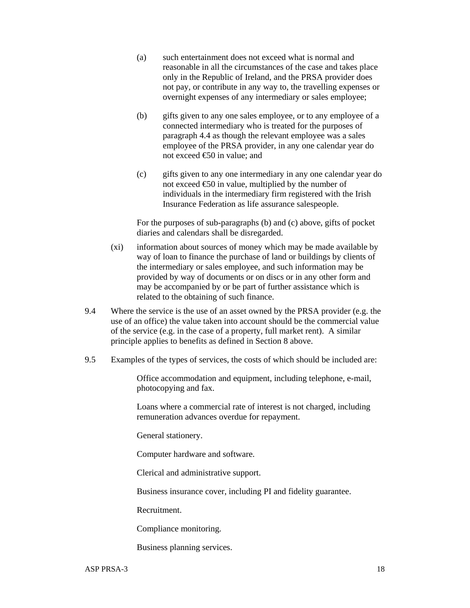- (a) such entertainment does not exceed what is normal and reasonable in all the circumstances of the case and takes place only in the Republic of Ireland, and the PRSA provider does not pay, or contribute in any way to, the travelling expenses or overnight expenses of any intermediary or sales employee;
- (b) gifts given to any one sales employee, or to any employee of a connected intermediary who is treated for the purposes of paragraph 4.4 as though the relevant employee was a sales employee of the PRSA provider, in any one calendar year do not exceed €50 in value; and
- (c) gifts given to any one intermediary in any one calendar year do not exceed  $\epsilon$ 50 in value, multiplied by the number of individuals in the intermediary firm registered with the Irish Insurance Federation as life assurance salespeople.

 For the purposes of sub-paragraphs (b) and (c) above, gifts of pocket diaries and calendars shall be disregarded.

- (xi) information about sources of money which may be made available by way of loan to finance the purchase of land or buildings by clients of the intermediary or sales employee, and such information may be provided by way of documents or on discs or in any other form and may be accompanied by or be part of further assistance which is related to the obtaining of such finance.
- 9.4 Where the service is the use of an asset owned by the PRSA provider (e.g. the use of an office) the value taken into account should be the commercial value of the service (e.g. in the case of a property, full market rent). A similar principle applies to benefits as defined in Section 8 above.
- 9.5 Examples of the types of services, the costs of which should be included are:

Office accommodation and equipment, including telephone, e-mail, photocopying and fax.

Loans where a commercial rate of interest is not charged, including remuneration advances overdue for repayment.

General stationery.

Computer hardware and software.

Clerical and administrative support.

Business insurance cover, including PI and fidelity guarantee.

Recruitment.

Compliance monitoring.

Business planning services.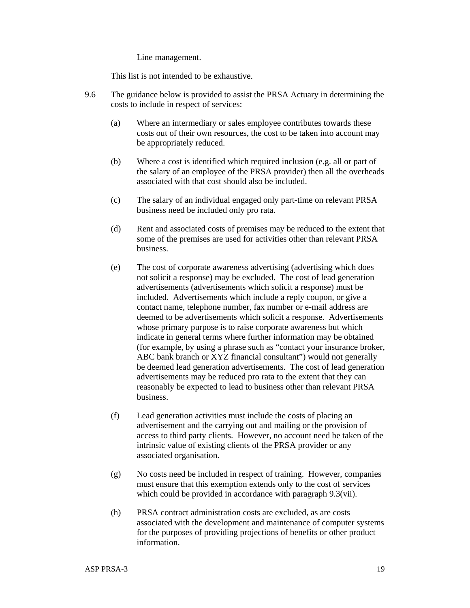Line management.

This list is not intended to be exhaustive.

- 9.6 The guidance below is provided to assist the PRSA Actuary in determining the costs to include in respect of services:
	- (a) Where an intermediary or sales employee contributes towards these costs out of their own resources, the cost to be taken into account may be appropriately reduced.
	- (b) Where a cost is identified which required inclusion (e.g. all or part of the salary of an employee of the PRSA provider) then all the overheads associated with that cost should also be included.
	- (c) The salary of an individual engaged only part-time on relevant PRSA business need be included only pro rata.
	- (d) Rent and associated costs of premises may be reduced to the extent that some of the premises are used for activities other than relevant PRSA business.
	- (e) The cost of corporate awareness advertising (advertising which does not solicit a response) may be excluded. The cost of lead generation advertisements (advertisements which solicit a response) must be included. Advertisements which include a reply coupon, or give a contact name, telephone number, fax number or e-mail address are deemed to be advertisements which solicit a response. Advertisements whose primary purpose is to raise corporate awareness but which indicate in general terms where further information may be obtained (for example, by using a phrase such as "contact your insurance broker, ABC bank branch or XYZ financial consultant") would not generally be deemed lead generation advertisements. The cost of lead generation advertisements may be reduced pro rata to the extent that they can reasonably be expected to lead to business other than relevant PRSA business.
	- (f) Lead generation activities must include the costs of placing an advertisement and the carrying out and mailing or the provision of access to third party clients. However, no account need be taken of the intrinsic value of existing clients of the PRSA provider or any associated organisation.
	- (g) No costs need be included in respect of training. However, companies must ensure that this exemption extends only to the cost of services which could be provided in accordance with paragraph 9.3(vii).
	- (h) PRSA contract administration costs are excluded, as are costs associated with the development and maintenance of computer systems for the purposes of providing projections of benefits or other product information.